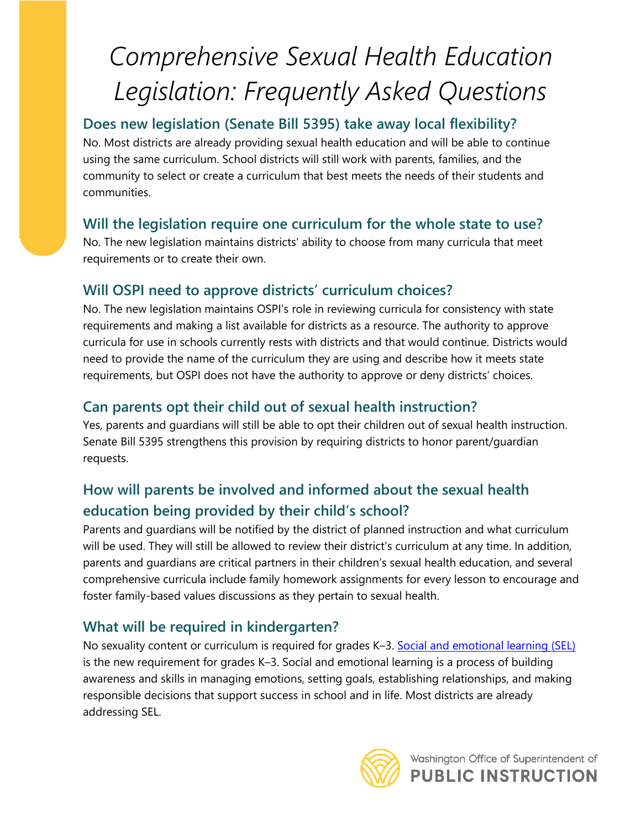# *Comprehensive Sexual Health Education Legislation: Frequently Asked Questions*

# **Does new legislation (Senate Bill 5395) take away local flexibility?**

No. Most districts are already providing sexual health education and will be able to continue using the same curriculum. School districts will still work with parents, families, and the community to select or create a curriculum that best meets the needs of their students and communities.

## **Will the legislation require one curriculum for the whole state to use?**

No. The new legislation maintains districts' ability to choose from many curricula that meet requirements or to create their own.

## **Will OSPI need to approve districts' curriculum choices?**

No. The new legislation maintains OSPI's role in reviewing curricula for consistency with state requirements and making a list available for districts as a resource. The authority to approve curricula for use in schools currently rests with districts and that would continue. Districts would need to provide the name of the curriculum they are using and describe how it meets state requirements, but OSPI does not have the authority to approve or deny districts' choices.

# **Can parents opt their child out of sexual health instruction?**

Yes, parents and guardians will still be able to opt their children out of sexual health instruction. Senate Bill 5395 strengthens this provision by requiring districts to honor parent/guardian requests.

# **How will parents be involved and informed about the sexual health education being provided by their child's school?**

Parents and guardians will be notified by the district of planned instruction and what curriculum will be used. They will still be allowed to review their district's curriculum at any time. In addition, parents and guardians are critical partners in their children's sexual health education, and several comprehensive curricula include family homework assignments for every lesson to encourage and foster family-based values discussions as they pertain to sexual health.

# **What will be required in kindergarten?**

No sexuality content or curriculum is required for grades K–3. [Social and emotional learning \(SEL\)](https://www.k12.wa.us/student-success/health-safety/mental-social-behavioral-health/social-and-emotional-learning-sel) is the new requirement for grades K–3. Social and emotional learning is a process of building awareness and skills in managing emotions, setting goals, establishing relationships, and making responsible decisions that support success in school and in life. Most districts are already addressing SEL.

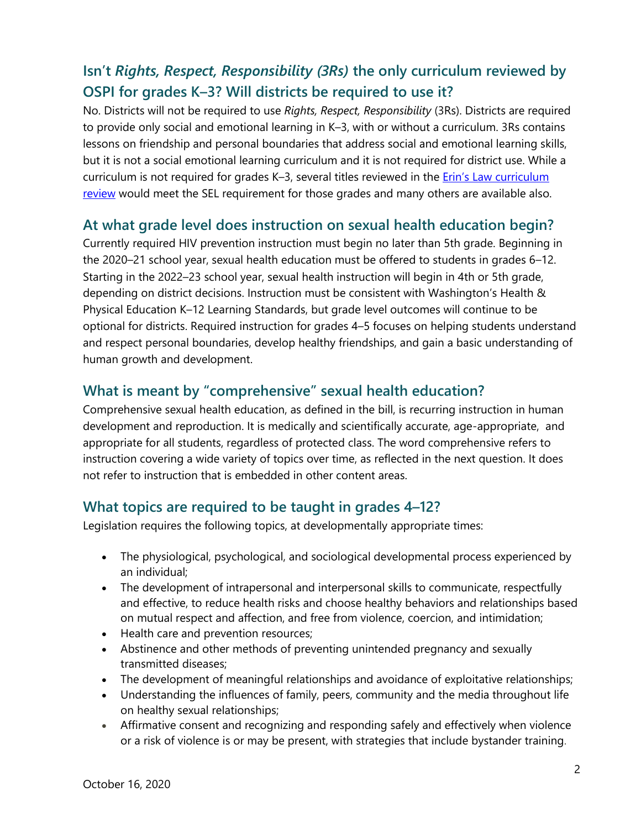## **Isn't** *Rights, Respect, Responsibility (3Rs)* **the only curriculum reviewed by OSPI for grades K–3? Will districts be required to use it?**

No. Districts will not be required to use *Rights, Respect, Responsibility* (3Rs). Districts are required to provide only social and emotional learning in K–3, with or without a curriculum. 3Rs contains lessons on friendship and personal boundaries that address social and emotional learning skills, but it is not a social emotional learning curriculum and it is not required for district use. While a curriculum is not required for grades K–3, several titles reviewed in the [Erin's Law curriculum](https://www.k12.wa.us/student-success/health-safety/sexual-abuse-prevention/erins-law-2018-curriculum-review)  [review](https://www.k12.wa.us/student-success/health-safety/sexual-abuse-prevention/erins-law-2018-curriculum-review) would meet the SEL requirement for those grades and many others are available also.

#### **At what grade level does instruction on sexual health education begin?**

Currently required HIV prevention instruction must begin no later than 5th grade. Beginning in the 2020–21 school year, sexual health education must be offered to students in grades 6–12. Starting in the 2022–23 school year, sexual health instruction will begin in 4th or 5th grade, depending on district decisions. Instruction must be consistent with Washington's Health & Physical Education K–12 Learning Standards, but grade level outcomes will continue to be optional for districts. Required instruction for grades 4–5 focuses on helping students understand and respect personal boundaries, develop healthy friendships, and gain a basic understanding of human growth and development.

#### **What is meant by "comprehensive" sexual health education?**

Comprehensive sexual health education, as defined in the bill, is recurring instruction in human development and reproduction. It is medically and scientifically accurate, age-appropriate, and appropriate for all students, regardless of protected class. The word comprehensive refers to instruction covering a wide variety of topics over time, as reflected in the next question. It does not refer to instruction that is embedded in other content areas.

#### **What topics are required to be taught in grades 4–12?**

Legislation requires the following topics, at developmentally appropriate times:

- The physiological, psychological, and sociological developmental process experienced by an individual;
- The development of intrapersonal and interpersonal skills to communicate, respectfully and effective, to reduce health risks and choose healthy behaviors and relationships based on mutual respect and affection, and free from violence, coercion, and intimidation;
- Health care and prevention resources;
- Abstinence and other methods of preventing unintended pregnancy and sexually transmitted diseases;
- The development of meaningful relationships and avoidance of exploitative relationships;
- Understanding the influences of family, peers, community and the media throughout life on healthy sexual relationships;
- Affirmative consent and recognizing and responding safely and effectively when violence or a risk of violence is or may be present, with strategies that include bystander training.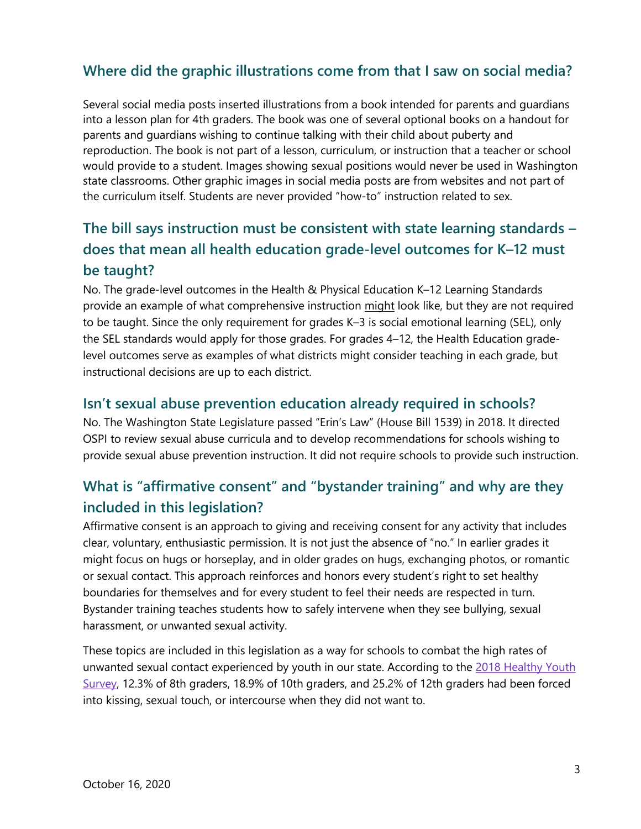#### **Where did the graphic illustrations come from that I saw on social media?**

Several social media posts inserted illustrations from a book intended for parents and guardians into a lesson plan for 4th graders. The book was one of several optional books on a handout for parents and guardians wishing to continue talking with their child about puberty and reproduction. The book is not part of a lesson, curriculum, or instruction that a teacher or school would provide to a student. Images showing sexual positions would never be used in Washington state classrooms. Other graphic images in social media posts are from websites and not part of the curriculum itself. Students are never provided "how-to" instruction related to sex.

## **The bill says instruction must be consistent with state learning standards – does that mean all health education grade-level outcomes for K–12 must be taught?**

No. The grade-level outcomes in the Health & Physical Education K–12 Learning Standards provide an example of what comprehensive instruction might look like, but they are not required to be taught. Since the only requirement for grades K–3 is social emotional learning (SEL), only the SEL standards would apply for those grades. For grades 4–12, the Health Education gradelevel outcomes serve as examples of what districts might consider teaching in each grade, but instructional decisions are up to each district.

#### **Isn't sexual abuse prevention education already required in schools?**

No. The Washington State Legislature passed "Erin's Law" (House Bill 1539) in 2018. It directed OSPI to review sexual abuse curricula and to develop recommendations for schools wishing to provide sexual abuse prevention instruction. It did not require schools to provide such instruction.

## **What is "affirmative consent" and "bystander training" and why are they included in this legislation?**

Affirmative consent is an approach to giving and receiving consent for any activity that includes clear, voluntary, enthusiastic permission. It is not just the absence of "no." In earlier grades it might focus on hugs or horseplay, and in older grades on hugs, exchanging photos, or romantic or sexual contact. This approach reinforces and honors every student's right to set healthy boundaries for themselves and for every student to feel their needs are respected in turn. Bystander training teaches students how to safely intervene when they see bullying, sexual harassment, or unwanted sexual activity.

These topics are included in this legislation as a way for schools to combat the high rates of unwanted sexual contact experienced by youth in our state. According to the 2018 Healthy Youth [Survey,](https://www.doh.wa.gov/DataandStatisticalReports/DataSystems/HealthyYouthSurvey) 12.3% of 8th graders, 18.9% of 10th graders, and 25.2% of 12th graders had been forced into kissing, sexual touch, or intercourse when they did not want to.